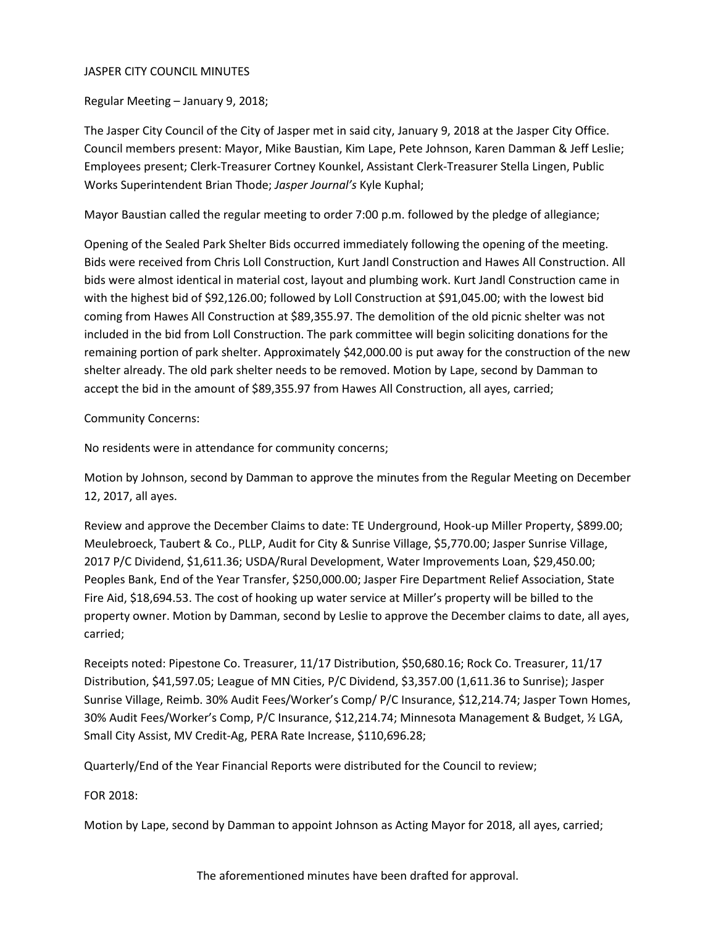## JASPER CITY COUNCIL MINUTES

Regular Meeting – January 9, 2018;

The Jasper City Council of the City of Jasper met in said city, January 9, 2018 at the Jasper City Office. Council members present: Mayor, Mike Baustian, Kim Lape, Pete Johnson, Karen Damman & Jeff Leslie; Employees present; Clerk-Treasurer Cortney Kounkel, Assistant Clerk-Treasurer Stella Lingen, Public Works Superintendent Brian Thode; *Jasper Journal's* Kyle Kuphal;

Mayor Baustian called the regular meeting to order 7:00 p.m. followed by the pledge of allegiance;

Opening of the Sealed Park Shelter Bids occurred immediately following the opening of the meeting. Bids were received from Chris Loll Construction, Kurt Jandl Construction and Hawes All Construction. All bids were almost identical in material cost, layout and plumbing work. Kurt Jandl Construction came in with the highest bid of \$92,126.00; followed by Loll Construction at \$91,045.00; with the lowest bid coming from Hawes All Construction at \$89,355.97. The demolition of the old picnic shelter was not included in the bid from Loll Construction. The park committee will begin soliciting donations for the remaining portion of park shelter. Approximately \$42,000.00 is put away for the construction of the new shelter already. The old park shelter needs to be removed. Motion by Lape, second by Damman to accept the bid in the amount of \$89,355.97 from Hawes All Construction, all ayes, carried;

# Community Concerns:

No residents were in attendance for community concerns;

Motion by Johnson, second by Damman to approve the minutes from the Regular Meeting on December 12, 2017, all ayes.

Review and approve the December Claims to date: TE Underground, Hook-up Miller Property, \$899.00; Meulebroeck, Taubert & Co., PLLP, Audit for City & Sunrise Village, \$5,770.00; Jasper Sunrise Village, 2017 P/C Dividend, \$1,611.36; USDA/Rural Development, Water Improvements Loan, \$29,450.00; Peoples Bank, End of the Year Transfer, \$250,000.00; Jasper Fire Department Relief Association, State Fire Aid, \$18,694.53. The cost of hooking up water service at Miller's property will be billed to the property owner. Motion by Damman, second by Leslie to approve the December claims to date, all ayes, carried;

Receipts noted: Pipestone Co. Treasurer, 11/17 Distribution, \$50,680.16; Rock Co. Treasurer, 11/17 Distribution, \$41,597.05; League of MN Cities, P/C Dividend, \$3,357.00 (1,611.36 to Sunrise); Jasper Sunrise Village, Reimb. 30% Audit Fees/Worker's Comp/ P/C Insurance, \$12,214.74; Jasper Town Homes, 30% Audit Fees/Worker's Comp, P/C Insurance, \$12,214.74; Minnesota Management & Budget, ½ LGA, Small City Assist, MV Credit-Ag, PERA Rate Increase, \$110,696.28;

Quarterly/End of the Year Financial Reports were distributed for the Council to review;

#### FOR 2018:

Motion by Lape, second by Damman to appoint Johnson as Acting Mayor for 2018, all ayes, carried;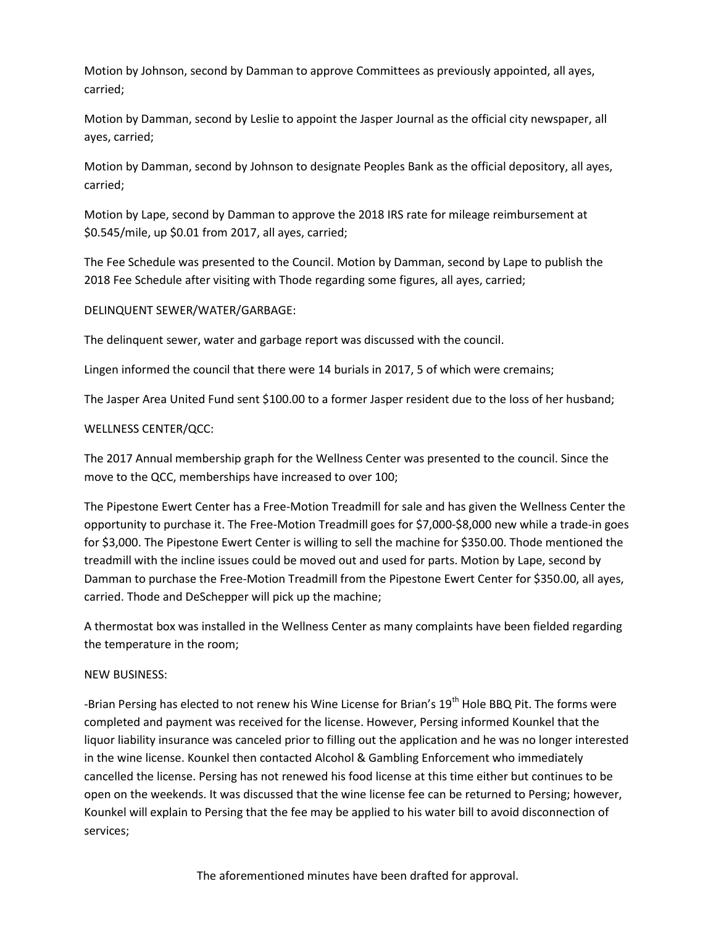Motion by Johnson, second by Damman to approve Committees as previously appointed, all ayes, carried;

Motion by Damman, second by Leslie to appoint the Jasper Journal as the official city newspaper, all ayes, carried;

Motion by Damman, second by Johnson to designate Peoples Bank as the official depository, all ayes, carried;

Motion by Lape, second by Damman to approve the 2018 IRS rate for mileage reimbursement at \$0.545/mile, up \$0.01 from 2017, all ayes, carried;

The Fee Schedule was presented to the Council. Motion by Damman, second by Lape to publish the 2018 Fee Schedule after visiting with Thode regarding some figures, all ayes, carried;

# DELINQUENT SEWER/WATER/GARBAGE:

The delinquent sewer, water and garbage report was discussed with the council.

Lingen informed the council that there were 14 burials in 2017, 5 of which were cremains;

The Jasper Area United Fund sent \$100.00 to a former Jasper resident due to the loss of her husband;

#### WELLNESS CENTER/QCC:

The 2017 Annual membership graph for the Wellness Center was presented to the council. Since the move to the QCC, memberships have increased to over 100;

The Pipestone Ewert Center has a Free-Motion Treadmill for sale and has given the Wellness Center the opportunity to purchase it. The Free-Motion Treadmill goes for \$7,000-\$8,000 new while a trade-in goes for \$3,000. The Pipestone Ewert Center is willing to sell the machine for \$350.00. Thode mentioned the treadmill with the incline issues could be moved out and used for parts. Motion by Lape, second by Damman to purchase the Free-Motion Treadmill from the Pipestone Ewert Center for \$350.00, all ayes, carried. Thode and DeSchepper will pick up the machine;

A thermostat box was installed in the Wellness Center as many complaints have been fielded regarding the temperature in the room;

#### NEW BUSINESS:

-Brian Persing has elected to not renew his Wine License for Brian's 19<sup>th</sup> Hole BBQ Pit. The forms were completed and payment was received for the license. However, Persing informed Kounkel that the liquor liability insurance was canceled prior to filling out the application and he was no longer interested in the wine license. Kounkel then contacted Alcohol & Gambling Enforcement who immediately cancelled the license. Persing has not renewed his food license at this time either but continues to be open on the weekends. It was discussed that the wine license fee can be returned to Persing; however, Kounkel will explain to Persing that the fee may be applied to his water bill to avoid disconnection of services;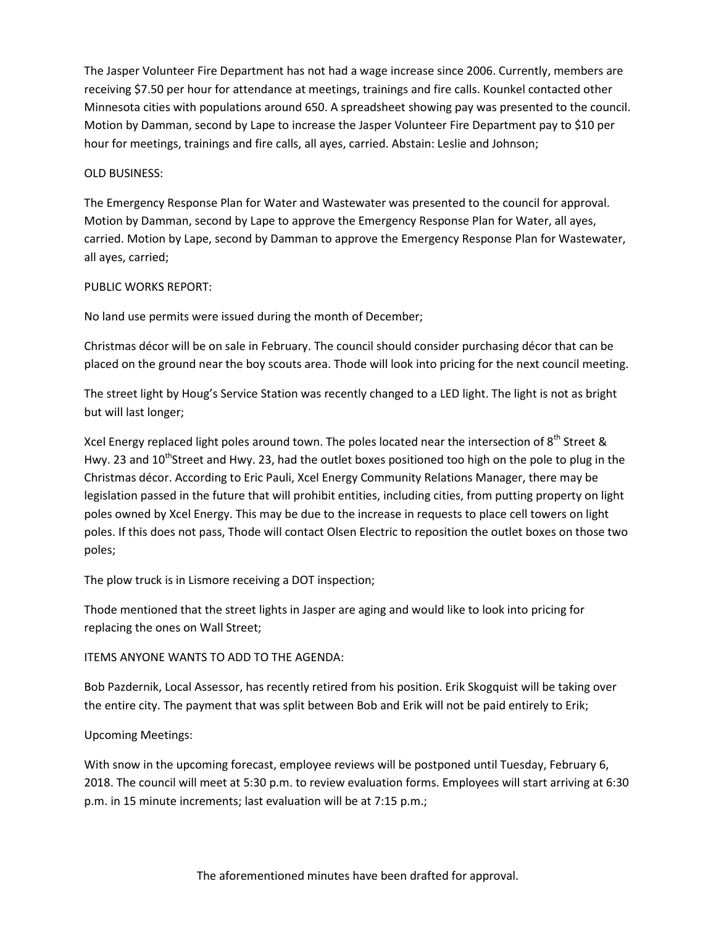The Jasper Volunteer Fire Department has not had a wage increase since 2006. Currently, members are receiving \$7.50 per hour for attendance at meetings, trainings and fire calls. Kounkel contacted other Minnesota cities with populations around 650. A spreadsheet showing pay was presented to the council. Motion by Damman, second by Lape to increase the Jasper Volunteer Fire Department pay to \$10 per hour for meetings, trainings and fire calls, all ayes, carried. Abstain: Leslie and Johnson;

## OLD BUSINESS:

The Emergency Response Plan for Water and Wastewater was presented to the council for approval. Motion by Damman, second by Lape to approve the Emergency Response Plan for Water, all ayes, carried. Motion by Lape, second by Damman to approve the Emergency Response Plan for Wastewater, all ayes, carried;

### PUBLIC WORKS REPORT:

No land use permits were issued during the month of December;

Christmas décor will be on sale in February. The council should consider purchasing décor that can be placed on the ground near the boy scouts area. Thode will look into pricing for the next council meeting.

The street light by Houg's Service Station was recently changed to a LED light. The light is not as bright but will last longer;

Xcel Energy replaced light poles around town. The poles located near the intersection of  $8<sup>th</sup>$  Street & Hwy. 23 and  $10^{th}$ Street and Hwy. 23, had the outlet boxes positioned too high on the pole to plug in the Christmas décor. According to Eric Pauli, Xcel Energy Community Relations Manager, there may be legislation passed in the future that will prohibit entities, including cities, from putting property on light poles owned by Xcel Energy. This may be due to the increase in requests to place cell towers on light poles. If this does not pass, Thode will contact Olsen Electric to reposition the outlet boxes on those two poles;

The plow truck is in Lismore receiving a DOT inspection;

Thode mentioned that the street lights in Jasper are aging and would like to look into pricing for replacing the ones on Wall Street;

# ITEMS ANYONE WANTS TO ADD TO THE AGENDA:

Bob Pazdernik, Local Assessor, has recently retired from his position. Erik Skogquist will be taking over the entire city. The payment that was split between Bob and Erik will not be paid entirely to Erik;

# Upcoming Meetings:

With snow in the upcoming forecast, employee reviews will be postponed until Tuesday, February 6, 2018. The council will meet at 5:30 p.m. to review evaluation forms. Employees will start arriving at 6:30 p.m. in 15 minute increments; last evaluation will be at 7:15 p.m.;